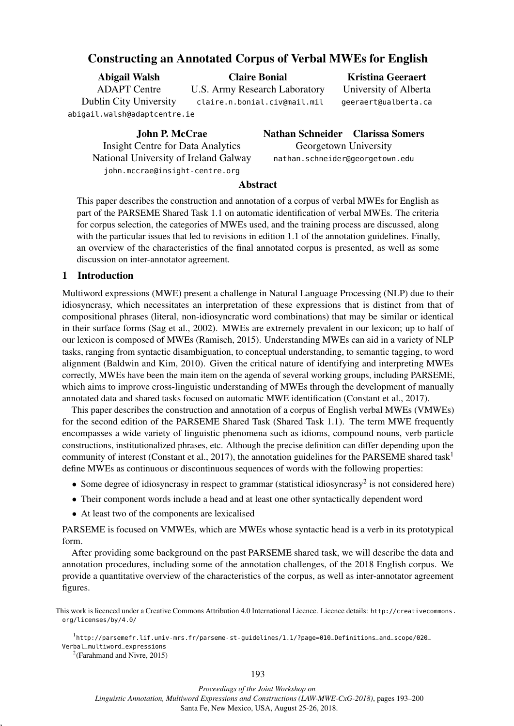# Constructing an Annotated Corpus of Verbal MWEs for English

<span id="page-0-2"></span>

| Abigail Walsh                 | <b>Claire Bonial</b>          | <b>Kristina Geeraert</b> |
|-------------------------------|-------------------------------|--------------------------|
| <b>ADAPT</b> Centre           | U.S. Army Research Laboratory | University of Alberta    |
| <b>Dublin City University</b> | claire.n.bonial.civ@mail.mil  | geeraert@ualberta.ca     |
| abigail.walsh@adaptcentre.ie  |                               |                          |

John P. McCrae Insight Centre for Data Analytics National University of Ireland Galway john.mccrae@insight-centre.org

Nathan Schneider Clarissa Somers Georgetown University nathan.schneider@georgetown.edu

# Abstract

This paper describes the construction and annotation of a corpus of verbal MWEs for English as part of the PARSEME Shared Task 1.1 on automatic identification of verbal MWEs. The criteria for corpus selection, the categories of MWEs used, and the training process are discussed, along with the particular issues that led to revisions in edition 1.1 of the annotation guidelines. Finally, an overview of the characteristics of the final annotated corpus is presented, as well as some discussion on inter-annotator agreement.

# 1 Introduction

Multiword expressions (MWE) present a challenge in Natural Language Processing (NLP) due to their idiosyncrasy, which necessitates an interpretation of these expressions that is distinct from that of compositional phrases (literal, non-idiosyncratic word combinations) that may be similar or identical in their surface forms (Sag et al., 2002). MWEs are extremely prevalent in our lexicon; up to half of our lexicon is composed of MWEs (Ramisch, 2015). Understanding MWEs can aid in a variety of NLP tasks, ranging from syntactic disambiguation, to conceptual understanding, to semantic tagging, to word alignment (Baldwin and Kim, 2010). Given the critical nature of identifying and interpreting MWEs correctly, MWEs have been the main item on the agenda of several working groups, including PARSEME, which aims to improve cross-linguistic understanding of MWEs through the development of manually annotated data and shared tasks focused on automatic MWE identification (Constant et al., 2017).

This paper describes the construction and annotation of a corpus of English verbal MWEs (VMWEs) for the second edition of the PARSEME Shared Task (Shared Task 1.1). The term MWE frequently encompasses a wide variety of linguistic phenomena such as idioms, compound nouns, verb particle constructions, institutionalized phrases, etc. Although the precise definition can differ depending upon the community of interest (Constant et al., 20[1](#page-0-0)7), the annotation guidelines for the PARSEME shared task<sup>1</sup> define MWEs as continuous or discontinuous sequences of words with the following properties:

- Some degree of idiosyncrasy in respect to grammar (statistical idiosyncrasy<sup>[2](#page-0-1)</sup> is not considered here)
- Their component words include a head and at least one other syntactically dependent word
- At least two of the components are lexicalised

PARSEME is focused on VMWEs, which are MWEs whose syntactic head is a verb in its prototypical form.

After providing some background on the past PARSEME shared task, we will describe the data and annotation procedures, including some of the annotation challenges, of the 2018 English corpus. We provide a quantitative overview of the characteristics of the corpus, as well as inter-annotator agreement figures.

,

*Proceedings of the Joint Workshop on*

*Linguistic Annotation, Multiword Expressions and Constructions (LAW-MWE-CxG-2018)*, pages 193–200 Santa Fe, New Mexico, USA, August 25-26, 2018.

This work is licenced under a Creative Commons Attribution 4.0 International Licence. Licence details: [http://creativecommons.](http://creativecommons.org/licenses/by/4.0/) [org/licenses/by/4.0/](http://creativecommons.org/licenses/by/4.0/)

<span id="page-0-0"></span><sup>1</sup> [http://parsemefr.lif.univ-mrs.fr/parseme-st-guidelines/1.1/?page=010\\_Definitions\\_and\\_scope/020\\_](http://parsemefr.lif.univ-mrs.fr/parseme-st-guidelines/1.1/?page=010_Definitions_and_scope/020_Verbal_multiword_expressions) [Verbal\\_multiword\\_expressions](http://parsemefr.lif.univ-mrs.fr/parseme-st-guidelines/1.1/?page=010_Definitions_and_scope/020_Verbal_multiword_expressions)

<span id="page-0-1"></span> $2$ (Farahmand and Nivre, 2015)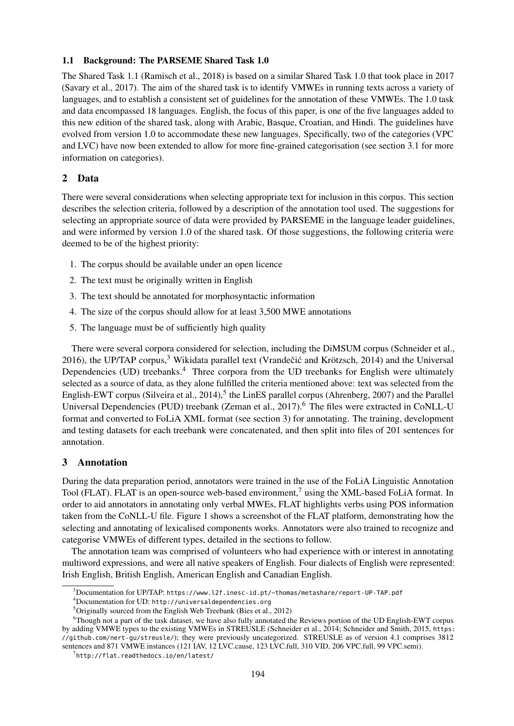## 1.1 Background: The PARSEME Shared Task 1.0

The Shared Task 1.1 [\(Ramisch et al., 2018\)](#page-0-2) is based on a similar Shared Task 1.0 that took place in 2017 [\(Savary et al., 2017\)](#page-0-2). The aim of the shared task is to identify VMWEs in running texts across a variety of languages, and to establish a consistent set of guidelines for the annotation of these VMWEs. The 1.0 task and data encompassed 18 languages. English, the focus of this paper, is one of the five languages added to this new edition of the shared task, along with Arabic, Basque, Croatian, and Hindi. The guidelines have evolved from version 1.0 to accommodate these new languages. Specifically, two of the categories (VPC and LVC) have now been extended to allow for more fine-grained categorisation (see section [3.1](#page-2-0) for more information on categories).

# 2 Data

There were several considerations when selecting appropriate text for inclusion in this corpus. This section describes the selection criteria, followed by a description of the annotation tool used. The suggestions for selecting an appropriate source of data were provided by PARSEME in the language leader guidelines, and were informed by version 1.0 of the shared task. Of those suggestions, the following criteria were deemed to be of the highest priority:

- 1. The corpus should be available under an open licence
- 2. The text must be originally written in English
- 3. The text should be annotated for morphosyntactic information
- 4. The size of the corpus should allow for at least 3,500 MWE annotations
- 5. The language must be of sufficiently high quality

There were several corpora considered for selection, including the DiMSUM corpus [\(Schneider et al.,](#page-0-2) [2016\)](#page-0-2), the UP/TAP corpus, $3$  Wikidata parallel text (Vrandečić and Krötzsch, 2014) and the Universal Dependencies (UD) treebanks.<sup>[4](#page-1-1)</sup> Three corpora from the UD treebanks for English were ultimately selected as a source of data, as they alone fulfilled the criteria mentioned above: text was selected from the English-EWT corpus [\(Silveira et al., 2014\)](#page-0-2),<sup>[5](#page-1-2)</sup> the LinES parallel corpus [\(Ahrenberg, 2007\)](#page-0-2) and the Parallel Universal Dependencies (PUD) treebank [\(Zeman et al., 2017\)](#page-0-2).<sup>[6](#page-1-3)</sup> The files were extracted in CoNLL-U format and converted to FoLiA XML format (see section [3\)](#page-1-4) for annotating. The training, development and testing datasets for each treebank were concatenated, and then split into files of 201 sentences for annotation.

# <span id="page-1-4"></span>3 Annotation

During the data preparation period, annotators were trained in the use of the FoLiA Linguistic Annotation Tool (FLAT). FLAT is an open-source web-based environment,<sup>[7](#page-1-5)</sup> using the XML-based FoLiA format. In order to aid annotators in annotating only verbal MWEs, FLAT highlights verbs using POS information taken from the CoNLL-U file. Figure [1](#page-2-1) shows a screenshot of the FLAT platform, demonstrating how the selecting and annotating of lexicalised components works. Annotators were also trained to recognize and categorise VMWEs of different types, detailed in the sections to follow.

The annotation team was comprised of volunteers who had experience with or interest in annotating multiword expressions, and were all native speakers of English. Four dialects of English were represented: Irish English, British English, American English and Canadian English.

<span id="page-1-1"></span><sup>4</sup>Documentation for UD: <http://universaldependencies.org>

<span id="page-1-0"></span><sup>3</sup>Documentation for UP/TAP: <https://www.l2f.inesc-id.pt/~thomas/metashare/report-UP-TAP.pdf>

<span id="page-1-3"></span><span id="page-1-2"></span><sup>5</sup>Originally sourced from the English Web Treebank [\(Bies et al., 2012\)](#page-0-2)

<sup>6</sup>Though not a part of the task dataset, we have also fully annotated the Reviews portion of the UD English-EWT corpus by adding VMWE types to the existing VMWEs in STREUSLE [\(Schneider et al., 2014;](#page-0-2) [Schneider and Smith, 2015,](#page-0-2) [https:](https://github.com/nert-gu/streusle/) [//github.com/nert-gu/streusle/](https://github.com/nert-gu/streusle/)); they were previously uncategorized. STREUSLE as of version 4.1 comprises 3812 sentences and 871 VMWE instances (121 IAV, 12 LVC.cause, 123 LVC.full, 310 VID, 206 VPC.full, 99 VPC.semi).

<span id="page-1-5"></span> $^{7}$ <http://flat.readthedocs.io/en/latest/>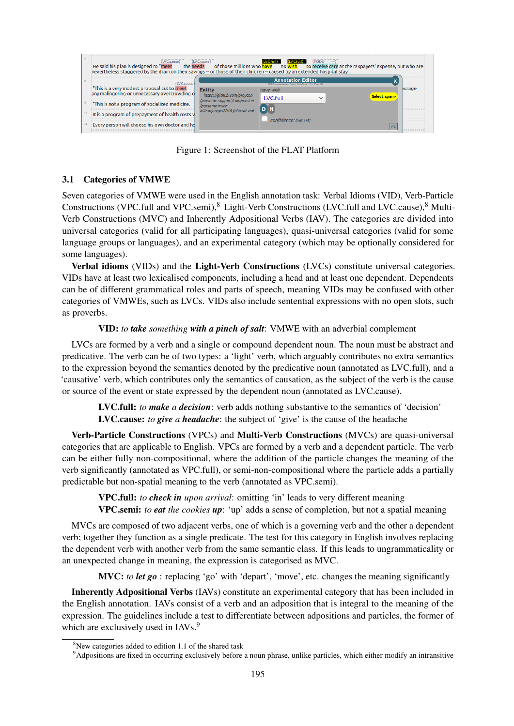

<span id="page-2-1"></span>Figure 1: Screenshot of the FLAT Platform

# <span id="page-2-0"></span>3.1 Categories of VMWE

Seven categories of VMWE were used in the English annotation task: Verbal Idioms (VID), Verb-Particle Constructions (VPC.full and VPC.semi),<sup>[8](#page-2-2)</sup> Light-Verb Constructions (LVC.full and LVC.cause),<sup>8</sup> Multi-Verb Constructions (MVC) and Inherently Adpositional Verbs (IAV). The categories are divided into universal categories (valid for all participating languages), quasi-universal categories (valid for some language groups or languages), and an experimental category (which may be optionally considered for some languages).

Verbal idioms (VIDs) and the Light-Verb Constructions (LVCs) constitute universal categories. VIDs have at least two lexicalised components, including a head and at least one dependent. Dependents can be of different grammatical roles and parts of speech, meaning VIDs may be confused with other categories of VMWEs, such as LVCs. VIDs also include sentential expressions with no open slots, such as proverbs.

## VID: *to take something with a pinch of salt*: VMWE with an adverbial complement

LVCs are formed by a verb and a single or compound dependent noun. The noun must be abstract and predicative. The verb can be of two types: a 'light' verb, which arguably contributes no extra semantics to the expression beyond the semantics denoted by the predicative noun (annotated as LVC.full), and a 'causative' verb, which contributes only the semantics of causation, as the subject of the verb is the cause or source of the event or state expressed by the dependent noun (annotated as LVC.cause).

LVC.full: *to make a decision*: verb adds nothing substantive to the semantics of 'decision' LVC.cause: *to give a headache*: the subject of 'give' is the cause of the headache

Verb-Particle Constructions (VPCs) and Multi-Verb Constructions (MVCs) are quasi-universal categories that are applicable to English. VPCs are formed by a verb and a dependent particle. The verb can be either fully non-compositional, where the addition of the particle changes the meaning of the verb significantly (annotated as VPC.full), or semi-non-compositional where the particle adds a partially predictable but non-spatial meaning to the verb (annotated as VPC.semi).

VPC.full: *to check in upon arrival*: omitting 'in' leads to very different meaning VPC.semi: *to eat the cookies up*: 'up' adds a sense of completion, but not a spatial meaning

MVCs are composed of two adjacent verbs, one of which is a governing verb and the other a dependent verb; together they function as a single predicate. The test for this category in English involves replacing the dependent verb with another verb from the same semantic class. If this leads to ungrammaticality or an unexpected change in meaning, the expression is categorised as MVC.

MVC: *to let go* : replacing 'go' with 'depart', 'move', etc. changes the meaning significantly

Inherently Adpositional Verbs (IAVs) constitute an experimental category that has been included in the English annotation. IAVs consist of a verb and an adposition that is integral to the meaning of the expression. The guidelines include a test to differentiate between adpositions and particles, the former of which are exclusively used in IAVs.<sup>[9](#page-2-3)</sup>

<span id="page-2-2"></span> $8$ New categories added to edition 1.1 of the shared task

<span id="page-2-3"></span><sup>9</sup>Adpositions are fixed in occurring exclusively before a noun phrase, unlike particles, which either modify an intransitive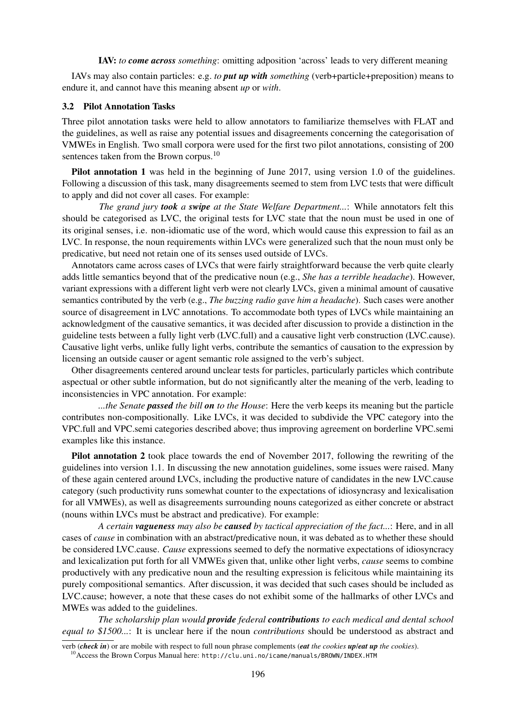#### IAV: *to come across something*: omitting adposition 'across' leads to very different meaning

IAVs may also contain particles: e.g. *to put up with something* (verb+particle+preposition) means to endure it, and cannot have this meaning absent *up* or *with*.

#### <span id="page-3-1"></span>3.2 Pilot Annotation Tasks

Three pilot annotation tasks were held to allow annotators to familiarize themselves with FLAT and the guidelines, as well as raise any potential issues and disagreements concerning the categorisation of VMWEs in English. Two small corpora were used for the first two pilot annotations, consisting of 200 sentences taken from the Brown corpus.<sup>[10](#page-3-0)</sup>

Pilot annotation 1 was held in the beginning of June 2017, using version 1.0 of the guidelines. Following a discussion of this task, many disagreements seemed to stem from LVC tests that were difficult to apply and did not cover all cases. For example:

*The grand jury took a swipe at the State Welfare Department...*: While annotators felt this should be categorised as LVC, the original tests for LVC state that the noun must be used in one of its original senses, i.e. non-idiomatic use of the word, which would cause this expression to fail as an LVC. In response, the noun requirements within LVCs were generalized such that the noun must only be predicative, but need not retain one of its senses used outside of LVCs.

Annotators came across cases of LVCs that were fairly straightforward because the verb quite clearly adds little semantics beyond that of the predicative noun (e.g., *She has a terrible headache*). However, variant expressions with a different light verb were not clearly LVCs, given a minimal amount of causative semantics contributed by the verb (e.g., *The buzzing radio gave him a headache*). Such cases were another source of disagreement in LVC annotations. To accommodate both types of LVCs while maintaining an acknowledgment of the causative semantics, it was decided after discussion to provide a distinction in the guideline tests between a fully light verb (LVC.full) and a causative light verb construction (LVC.cause). Causative light verbs, unlike fully light verbs, contribute the semantics of causation to the expression by licensing an outside causer or agent semantic role assigned to the verb's subject.

Other disagreements centered around unclear tests for particles, particularly particles which contribute aspectual or other subtle information, but do not significantly alter the meaning of the verb, leading to inconsistencies in VPC annotation. For example:

*...the Senate passed the bill on to the House*: Here the verb keeps its meaning but the particle contributes non-compositionally. Like LVCs, it was decided to subdivide the VPC category into the VPC.full and VPC.semi categories described above; thus improving agreement on borderline VPC.semi examples like this instance.

Pilot annotation 2 took place towards the end of November 2017, following the rewriting of the guidelines into version 1.1. In discussing the new annotation guidelines, some issues were raised. Many of these again centered around LVCs, including the productive nature of candidates in the new LVC.cause category (such productivity runs somewhat counter to the expectations of idiosyncrasy and lexicalisation for all VMWEs), as well as disagreements surrounding nouns categorized as either concrete or abstract (nouns within LVCs must be abstract and predicative). For example:

*A certain vagueness may also be caused by tactical appreciation of the fact...*: Here, and in all cases of *cause* in combination with an abstract/predicative noun, it was debated as to whether these should be considered LVC.cause. *Cause* expressions seemed to defy the normative expectations of idiosyncracy and lexicalization put forth for all VMWEs given that, unlike other light verbs, *cause* seems to combine productively with any predicative noun and the resulting expression is felicitous while maintaining its purely compositional semantics. After discussion, it was decided that such cases should be included as LVC.cause; however, a note that these cases do not exhibit some of the hallmarks of other LVCs and MWEs was added to the guidelines.

*The scholarship plan would provide federal contributions to each medical and dental school equal to \$1500...*: It is unclear here if the noun *contributions* should be understood as abstract and

verb (*check in*) or are mobile with respect to full noun phrase complements (*eat the cookies up*/*eat up the cookies*).

<span id="page-3-0"></span><sup>&</sup>lt;sup>10</sup> Access the Brown Corpus Manual here: <http://clu.uni.no/icame/manuals/BROWN/INDEX.HTM>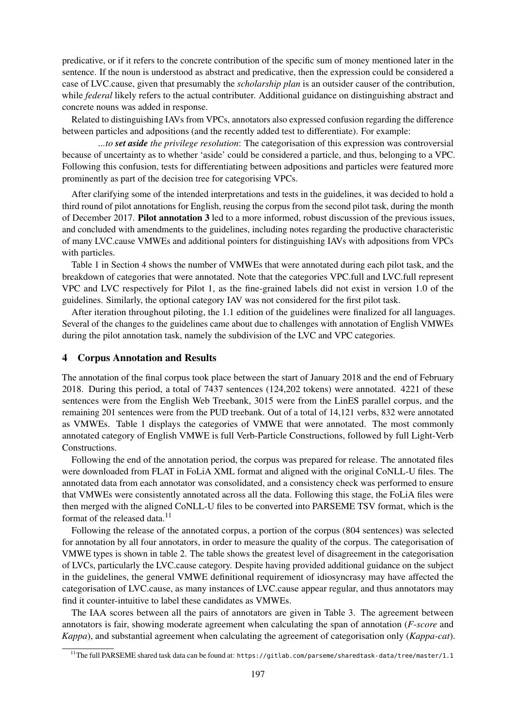predicative, or if it refers to the concrete contribution of the specific sum of money mentioned later in the sentence. If the noun is understood as abstract and predicative, then the expression could be considered a case of LVC.cause, given that presumably the *scholarship plan* is an outsider causer of the contribution, while *federal* likely refers to the actual contributer. Additional guidance on distinguishing abstract and concrete nouns was added in response.

Related to distinguishing IAVs from VPCs, annotators also expressed confusion regarding the difference between particles and adpositions (and the recently added test to differentiate). For example:

*...to set aside the privilege resolution*: The categorisation of this expression was controversial because of uncertainty as to whether 'aside' could be considered a particle, and thus, belonging to a VPC. Following this confusion, tests for differentiating between adpositions and particles were featured more prominently as part of the decision tree for categorising VPCs.

After clarifying some of the intended interpretations and tests in the guidelines, it was decided to hold a third round of pilot annotations for English, reusing the corpus from the second pilot task, during the month of December 2017. Pilot annotation 3 led to a more informed, robust discussion of the previous issues, and concluded with amendments to the guidelines, including notes regarding the productive characteristic of many LVC.cause VMWEs and additional pointers for distinguishing IAVs with adpositions from VPCs with particles.

Table [1](#page-5-0) in Section [4](#page-4-0) shows the number of VMWEs that were annotated during each pilot task, and the breakdown of categories that were annotated. Note that the categories VPC.full and LVC.full represent VPC and LVC respectively for Pilot 1, as the fine-grained labels did not exist in version 1.0 of the guidelines. Similarly, the optional category IAV was not considered for the first pilot task.

After iteration throughout piloting, the 1.1 edition of the guidelines were finalized for all languages. Several of the changes to the guidelines came about due to challenges with annotation of English VMWEs during the pilot annotation task, namely the subdivision of the LVC and VPC categories.

### <span id="page-4-0"></span>4 Corpus Annotation and Results

The annotation of the final corpus took place between the start of January 2018 and the end of February 2018. During this period, a total of 7437 sentences (124,202 tokens) were annotated. 4221 of these sentences were from the English Web Treebank, 3015 were from the LinES parallel corpus, and the remaining 201 sentences were from the PUD treebank. Out of a total of 14,121 verbs, 832 were annotated as VMWEs. Table [1](#page-5-0) displays the categories of VMWE that were annotated. The most commonly annotated category of English VMWE is full Verb-Particle Constructions, followed by full Light-Verb Constructions.

Following the end of the annotation period, the corpus was prepared for release. The annotated files were downloaded from FLAT in FoLiA XML format and aligned with the original CoNLL-U files. The annotated data from each annotator was consolidated, and a consistency check was performed to ensure that VMWEs were consistently annotated across all the data. Following this stage, the FoLiA files were then merged with the aligned CoNLL-U files to be converted into PARSEME TSV format, which is the format of the released data. $11$ 

Following the release of the annotated corpus, a portion of the corpus (804 sentences) was selected for annotation by all four annotators, in order to measure the quality of the corpus. The categorisation of VMWE types is shown in table [2.](#page-5-1) The table shows the greatest level of disagreement in the categorisation of LVCs, particularly the LVC.cause category. Despite having provided additional guidance on the subject in the guidelines, the general VMWE definitional requirement of idiosyncrasy may have affected the categorisation of LVC.cause, as many instances of LVC.cause appear regular, and thus annotators may find it counter-intuitive to label these candidates as VMWEs.

The IAA scores between all the pairs of annotators are given in Table [3.](#page-5-2) The agreement between annotators is fair, showing moderate agreement when calculating the span of annotation (*F-score* and *Kappa*), and substantial agreement when calculating the agreement of categorisation only (*Kappa-cat*).

<span id="page-4-1"></span><sup>11</sup>The full PARSEME shared task data can be found at: <https://gitlab.com/parseme/sharedtask-data/tree/master/1.1>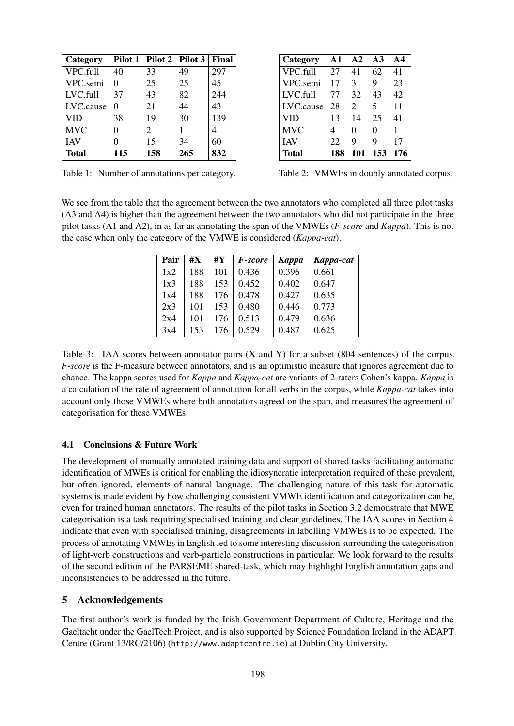| Category   |     | Pilot 1 Pilot 2 Pilot 3     |     | Final |
|------------|-----|-----------------------------|-----|-------|
| VPC.full   | 40  | 33                          | 49  | 297   |
| VPC.semi   |     | 25                          | 25  | 45    |
| LVC.full   | 37  | 43                          | 82  | 244   |
| LVC.cause  |     | 21                          | 44  | 43    |
| VID        | 38  | 19                          | 30  | 139   |
| <b>MVC</b> |     | $\mathcal{D}_{\mathcal{L}}$ |     |       |
| <b>IAV</b> |     | 15                          | 34  | 60    |
| Total      | 115 | 158                         | 265 | 832   |

| Category     | A1  | $\mathbf{A2}$ | A3  | A4  |
|--------------|-----|---------------|-----|-----|
| VPC full     | 27  | 41            | 62  | 41  |
| VPC.semi     | 17  | 3             | 9   | 23  |
| $IVC$ full   | 77  | 32            | 43  | 42  |
| LVC.cause    | 28  | 2             | 5   | 11  |
| <b>VID</b>   | 13  | 14            | 25  | 41  |
| <b>MVC</b>   | 4   | 0             | 0   | 1   |
| <b>IAV</b>   | 22  | 9             | 9   | 17  |
| <b>Total</b> | 188 | 101           | 153 | 176 |
|              |     |               |     |     |

<span id="page-5-0"></span>Table 1: Number of annotations per category.

<span id="page-5-1"></span>Table 2: VMWEs in doubly annotated corpus.

We see from the table that the agreement between the two annotators who completed all three pilot tasks (A3 and A4) is higher than the agreement between the two annotators who did not participate in the three pilot tasks (A1 and A2), in as far as annotating the span of the VMWEs (*F-score* and *Kappa*). This is not the case when only the category of the VMWE is considered (*Kappa-cat*).

| Pair | #X  | #Y  | <i>F-score</i> | Kappa | Kappa-cat |
|------|-----|-----|----------------|-------|-----------|
| 1x2  | 188 | 101 | 0.436          | 0.396 | 0.661     |
| 1x3  | 188 | 153 | 0.452          | 0.402 | 0.647     |
| 1x4  | 188 | 176 | 0.478          | 0.427 | 0.635     |
| 2x3  | 101 | 153 | 0.480          | 0.446 | 0.773     |
| 2x4  | 101 | 176 | 0.513          | 0.479 | 0.636     |
| 3x4  | 153 | 176 | 0.529          | 0.487 | 0.625     |

<span id="page-5-2"></span>Table 3: IAA scores between annotator pairs  $(X \text{ and } Y)$  for a subset (804 sentences) of the corpus. *F-score* is the F-measure between annotators, and is an optimistic measure that ignores agreement due to chance. The kappa scores used for *Kappa* and *Kappa-cat* are variants of 2-raters Cohen's kappa. *Kappa* is a calculation of the rate of agreement of annotation for all verbs in the corpus, while *Kappa-cat* takes into account only those VMWEs where both annotators agreed on the span, and measures the agreement of categorisation for these VMWEs.

# 4.1 Conclusions & Future Work

The development of manually annotated training data and support of shared tasks facilitating automatic identification of MWEs is critical for enabling the idiosyncratic interpretation required of these prevalent, but often ignored, elements of natural language. The challenging nature of this task for automatic systems is made evident by how challenging consistent VMWE identification and categorization can be, even for trained human annotators. The results of the pilot tasks in Section [3.2](#page-3-1) demonstrate that MWE categorisation is a task requiring specialised training and clear guidelines. The IAA scores in Section [4](#page-4-0) indicate that even with specialised training, disagreements in labelling VMWEs is to be expected. The process of annotating VMWEs in English led to some interesting discussion surrounding the categorisation of light-verb constructions and verb-particle constructions in particular. We look forward to the results of the second edition of the PARSEME shared-task, which may highlight English annotation gaps and inconsistencies to be addressed in the future.

# 5 Acknowledgements

The first author's work is funded by the Irish Government Department of Culture, Heritage and the Gaeltacht under the GaelTech Project, and is also supported by Science Foundation Ireland in the ADAPT Centre (Grant 13/RC/2106) (<http://www.adaptcentre.ie>) at Dublin City University.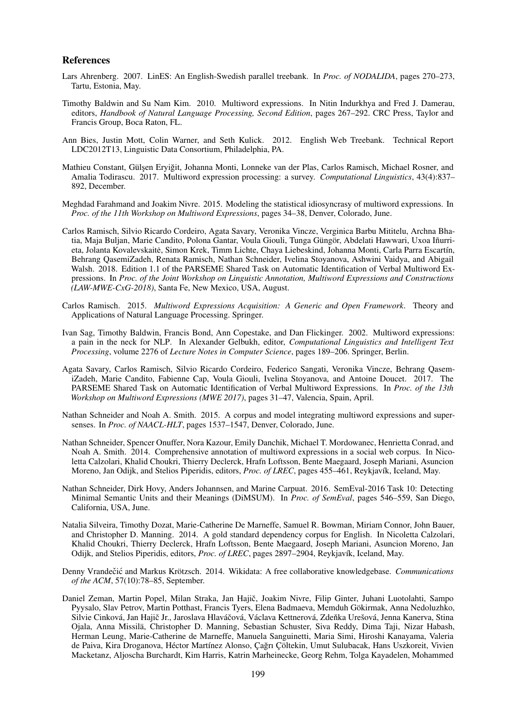#### References

- Lars Ahrenberg. 2007. LinES: An English-Swedish parallel treebank. In *Proc. of NODALIDA*, pages 270–273, Tartu, Estonia, May.
- Timothy Baldwin and Su Nam Kim. 2010. Multiword expressions. In Nitin Indurkhya and Fred J. Damerau, editors, *Handbook of Natural Language Processing, Second Edition*, pages 267–292. CRC Press, Taylor and Francis Group, Boca Raton, FL.
- Ann Bies, Justin Mott, Colin Warner, and Seth Kulick. 2012. English Web Treebank. Technical Report LDC2012T13, Linguistic Data Consortium, Philadelphia, PA.
- Mathieu Constant, Gülşen Eryiğit, Johanna Monti, Lonneke van der Plas, Carlos Ramisch, Michael Rosner, and Amalia Todirascu. 2017. Multiword expression processing: a survey. *Computational Linguistics*, 43(4):837– 892, December.
- Meghdad Farahmand and Joakim Nivre. 2015. Modeling the statistical idiosyncrasy of multiword expressions. In *Proc. of the 11th Workshop on Multiword Expressions*, pages 34–38, Denver, Colorado, June.
- Carlos Ramisch, Silvio Ricardo Cordeiro, Agata Savary, Veronika Vincze, Verginica Barbu Mititelu, Archna Bhatia, Maja Buljan, Marie Candito, Polona Gantar, Voula Giouli, Tunga Güngör, Abdelati Hawwari, Uxoa Iñurrieta, Jolanta Kovalevskaite, Simon Krek, Timm Lichte, Chaya Liebeskind, Johanna Monti, Carla Parra Escartín, ˙ Behrang QasemiZadeh, Renata Ramisch, Nathan Schneider, Ivelina Stoyanova, Ashwini Vaidya, and Abigail Walsh. 2018. Edition 1.1 of the PARSEME Shared Task on Automatic Identification of Verbal Multiword Expressions. In *Proc. of the Joint Workshop on Linguistic Annotation, Multiword Expressions and Constructions (LAW-MWE-CxG-2018)*, Santa Fe, New Mexico, USA, August.
- Carlos Ramisch. 2015. *Multiword Expressions Acquisition: A Generic and Open Framework*. Theory and Applications of Natural Language Processing. Springer.
- Ivan Sag, Timothy Baldwin, Francis Bond, Ann Copestake, and Dan Flickinger. 2002. Multiword expressions: a pain in the neck for NLP. In Alexander Gelbukh, editor, *Computational Linguistics and Intelligent Text Processing*, volume 2276 of *Lecture Notes in Computer Science*, pages 189–206. Springer, Berlin.
- Agata Savary, Carlos Ramisch, Silvio Ricardo Cordeiro, Federico Sangati, Veronika Vincze, Behrang QasemiZadeh, Marie Candito, Fabienne Cap, Voula Giouli, Ivelina Stoyanova, and Antoine Doucet. 2017. The PARSEME Shared Task on Automatic Identification of Verbal Multiword Expressions. In *Proc. of the 13th Workshop on Multiword Expressions (MWE 2017)*, pages 31–47, Valencia, Spain, April.
- Nathan Schneider and Noah A. Smith. 2015. A corpus and model integrating multiword expressions and supersenses. In *Proc. of NAACL-HLT*, pages 1537–1547, Denver, Colorado, June.
- Nathan Schneider, Spencer Onuffer, Nora Kazour, Emily Danchik, Michael T. Mordowanec, Henrietta Conrad, and Noah A. Smith. 2014. Comprehensive annotation of multiword expressions in a social web corpus. In Nicoletta Calzolari, Khalid Choukri, Thierry Declerck, Hrafn Loftsson, Bente Maegaard, Joseph Mariani, Asuncion Moreno, Jan Odijk, and Stelios Piperidis, editors, *Proc. of LREC*, pages 455–461, Reykjavík, Iceland, May.
- Nathan Schneider, Dirk Hovy, Anders Johannsen, and Marine Carpuat. 2016. SemEval-2016 Task 10: Detecting Minimal Semantic Units and their Meanings (DiMSUM). In *Proc. of SemEval*, pages 546–559, San Diego, California, USA, June.
- Natalia Silveira, Timothy Dozat, Marie-Catherine De Marneffe, Samuel R. Bowman, Miriam Connor, John Bauer, and Christopher D. Manning. 2014. A gold standard dependency corpus for English. In Nicoletta Calzolari, Khalid Choukri, Thierry Declerck, Hrafn Loftsson, Bente Maegaard, Joseph Mariani, Asuncion Moreno, Jan Odijk, and Stelios Piperidis, editors, *Proc. of LREC*, pages 2897–2904, Reykjavík, Iceland, May.
- Denny Vrandečić and Markus Krötzsch. 2014. Wikidata: A free collaborative knowledgebase. *Communications of the ACM*, 57(10):78–85, September.
- Daniel Zeman, Martin Popel, Milan Straka, Jan Hajič, Joakim Nivre, Filip Ginter, Juhani Luotolahti, Sampo Pyysalo, Slav Petrov, Martin Potthast, Francis Tyers, Elena Badmaeva, Memduh Gökirmak, Anna Nedoluzhko, Silvie Cinková, Jan Hajič Jr., Jaroslava Hlaváčová, Václava Kettnerová, Zdeňka Urešová, Jenna Kanerva, Stina Ojala, Anna Missilä, Christopher D. Manning, Sebastian Schuster, Siva Reddy, Dima Taji, Nizar Habash, Herman Leung, Marie-Catherine de Marneffe, Manuela Sanguinetti, Maria Simi, Hiroshi Kanayama, Valeria de Paiva, Kira Droganova, Héctor Martínez Alonso, Çağrı Çöltekin, Umut Sulubacak, Hans Uszkoreit, Vivien Macketanz, Aljoscha Burchardt, Kim Harris, Katrin Marheinecke, Georg Rehm, Tolga Kayadelen, Mohammed